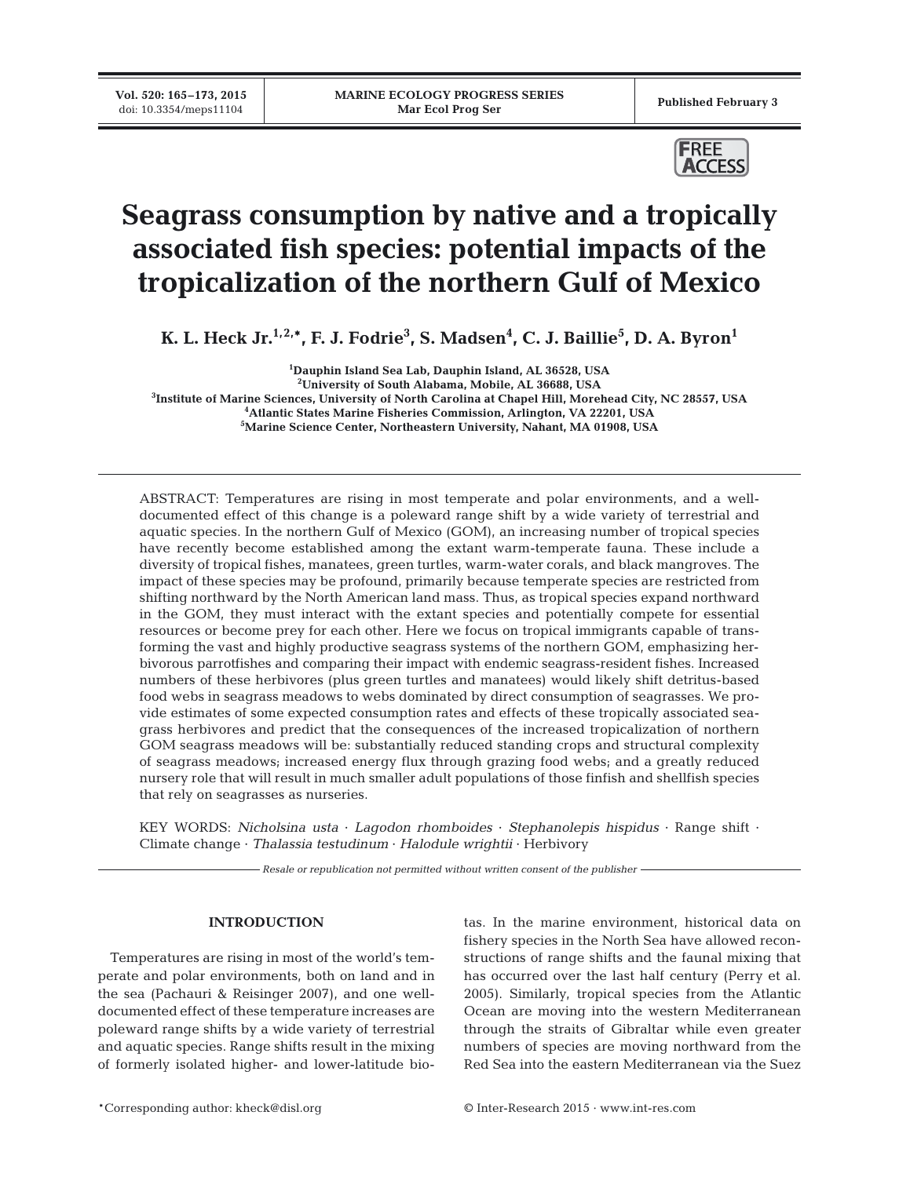**Vol. 520: 165–173, 2015**



# **Seagrass consumption by native and a tropically associated fish species: potential impacts of the tropicalization of the northern Gulf of Mexico**

 $\boldsymbol{\mathsf{K}}$ . L. Heck Jr.<sup>1,2,</sup>\*, F. J. Fodrie<sup>3</sup>, S. Madsen<sup>4</sup>, C. J. Baillie<sup>5</sup>, D. A. Byron<sup>1</sup>

 **Dauphin Island Sea Lab, Dauphin Island, AL 36528, USA University of South Alabama, Mobile, AL 36688, USA Institute of Marine Sciences, University of North Carolina at Chapel Hill, Morehead City, NC 28557, USA Atlantic States Marine Fisheries Commission, Arlington, VA 22201, USA Marine Science Center, Northeastern University, Nahant, MA 01908, USA**

ABSTRACT: Temperatures are rising in most temperate and polar environments, and a welldocumented effect of this change is a poleward range shift by a wide variety of terrestrial and aquatic species. In the northern Gulf of Mexico (GOM), an increasing number of tropical species have recently become established among the extant warm-temperate fauna. These include a diversity of tropical fishes, manatees, green turtles, warm-water corals, and black mangroves. The impact of these species may be profound, primarily because temperate species are restricted from shifting northward by the North American land mass. Thus, as tropical species expand northward in the GOM, they must interact with the extant species and potentially compete for essential resources or become prey for each other. Here we focus on tropical immigrants capable of transforming the vast and highly productive seagrass systems of the northern GOM, emphasizing herbivorous parrotfishes and comparing their impact with endemic seagrass-resident fishes. Increased numbers of these herbivores (plus green turtles and manatees) would likely shift detritus-based food webs in seagrass meadows to webs dominated by direct consumption of seagrasses. We provide estimates of some expected consumption rates and effects of these tropically associated seagrass herbivores and predict that the consequences of the increased tropicalization of northern GOM seagrass meadows will be: substantially reduced standing crops and structural complexity of seagrass meadows; increased energy flux through grazing food webs; and a greatly reduced nursery role that will result in much smaller adult populations of those finfish and shellfish species that rely on seagrasses as nurseries.

KEY WORDS: *Nicholsina usta* · *Lagodon rhomboides* · *Stephanolepis hispidus* · Range shift · Climate change · *Thalassia testudinum* · *Halodule wrightii* · Herbivory

*Resale or republication not permitted without written consent of the publisher*

# **INTRODUCTION**

Temperatures are rising in most of the world's temperate and polar environments, both on land and in the sea (Pachauri & Reisinger 2007), and one welldocumented effect of these temperature increases are poleward range shifts by a wide variety of terrestrial and aquatic species. Range shifts result in the mixing of formerly isolated higher- and lower- latitude biotas. In the marine environment, historical data on fishery species in the North Sea have allowed reconstructions of range shifts and the faunal mixing that has occurred over the last half century (Perry et al. 2005). Similarly, tropical species from the Atlantic Ocean are moving into the western Mediterranean through the straits of Gibraltar while even greater numbers of species are moving northward from the Red Sea into the eastern Mediterranean via the Suez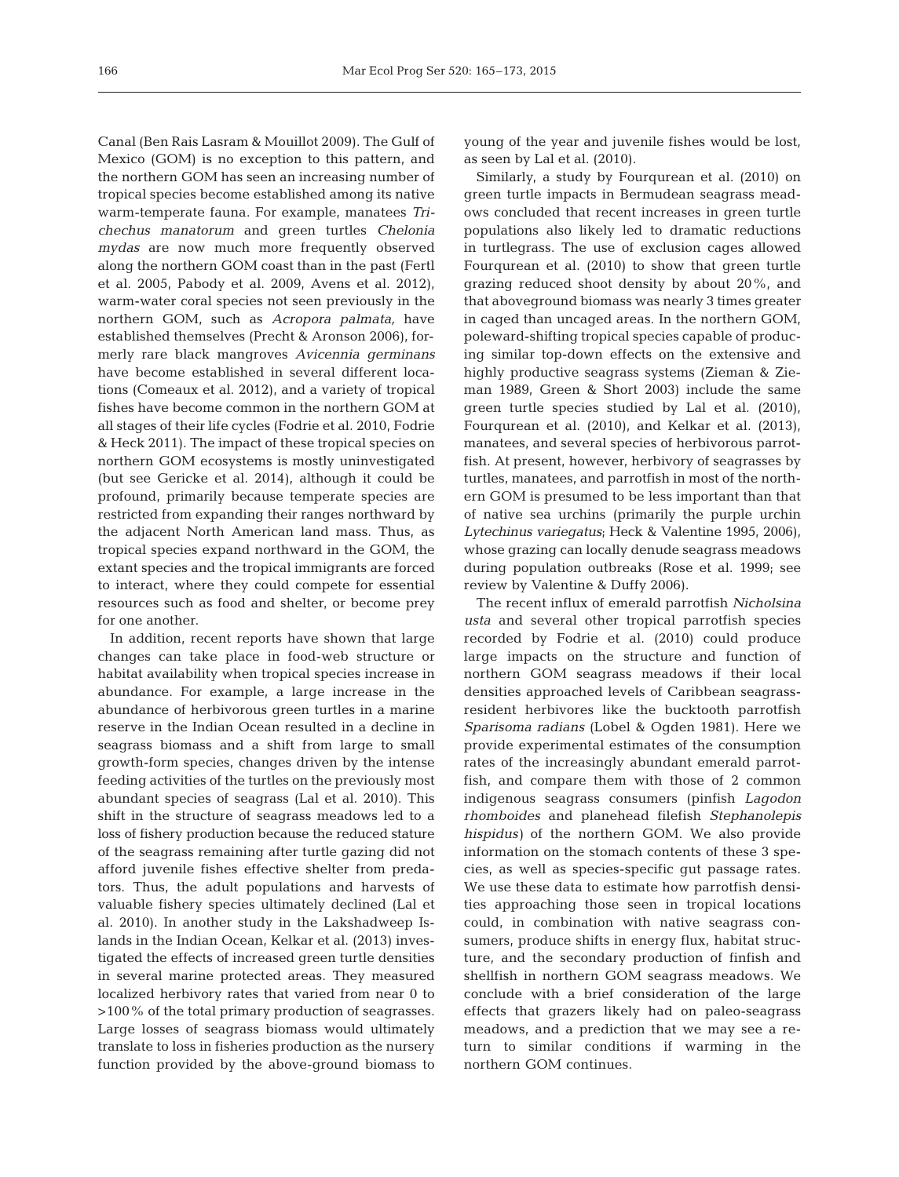Canal (Ben Rais Lasram & Mouillot 2009). The Gulf of Mexico (GOM) is no exception to this pattern, and the northern GOM has seen an increasing number of tropical species become established among its native warm-temperate fauna. For example, manatees *Tri che chus manatorum* and green turtles *Chelonia mydas* are now much more frequently observed along the northern GOM coast than in the past (Fertl et al. 2005, Pabody et al. 2009, Avens et al. 2012), warm-water coral species not seen previously in the northern GOM, such as *Acropora palmata,* have established themselves (Precht & Aronson 2006), formerly rare black mangroves *Avicennia germinans* have become established in several different locations (Comeaux et al. 2012), and a variety of tropical fishes have become common in the northern GOM at all stages of their life cycles (Fodrie et al. 2010, Fodrie & Heck 2011). The impact of these tropical species on northern GOM ecosystems is mostly uninvestigated (but see Gericke et al. 2014), although it could be profound, primarily because temperate species are restricted from expanding their ranges northward by the adjacent North American land mass. Thus, as tropical species expand northward in the GOM, the extant species and the tropical immigrants are forced to interact, where they could compete for essential resources such as food and shelter, or become prey for one another.

In addition, recent reports have shown that large changes can take place in food-web structure or habitat availability when tropical species increase in abundance. For example, a large increase in the abundance of herbivorous green turtles in a marine reserve in the Indian Ocean resulted in a decline in seagrass biomass and a shift from large to small growth-form species, changes driven by the intense feeding activities of the turtles on the previously most abundant species of seagrass (Lal et al. 2010). This shift in the structure of seagrass meadows led to a loss of fishery production because the reduced stature of the seagrass remaining after turtle gazing did not afford juvenile fishes effective shelter from predators. Thus, the adult populations and harvests of valuable fishery species ultimately declined (Lal et al. 2010). In another study in the Lakshadweep Islands in the Indian Ocean, Kelkar et al. (2013) investigated the effects of increased green turtle densities in several marine protected areas. They measured localized herbivory rates that varied from near 0 to >100% of the total primary production of seagrasses. Large losses of seagrass biomass would ultimately translate to loss in fisheries production as the nursery function provided by the above-ground biomass to

young of the year and juvenile fishes would be lost, as seen by Lal et al. (2010).

Similarly, a study by Fourqurean et al. (2010) on green turtle impacts in Bermudean seagrass meadows concluded that recent increases in green turtle populations also likely led to dramatic reductions in turtlegrass. The use of exclusion cages allowed Fourqurean et al. (2010) to show that green turtle grazing reduced shoot density by about 20%, and that aboveground biomass was nearly 3 times greater in caged than uncaged areas. In the northern GOM, poleward-shifting tropical species capable of producing similar top-down effects on the extensive and highly productive seagrass systems (Zieman & Zieman 1989, Green & Short 2003) include the same green turtle species studied by Lal et al. (2010), Fourqurean et al. (2010), and Kelkar et al. (2013), manatees, and several species of herbivorous parrotfish. At present, however, herbivory of seagrasses by turtles, manatees, and parrotfish in most of the northern GOM is presumed to be less important than that of native sea urchins (primarily the purple urchin *Lyte chinus variegatus*; Heck & Valentine 1995, 2006), whose grazing can locally denude seagrass meadows during population outbreaks (Rose et al. 1999; see review by Valentine & Duffy 2006).

The recent influx of emerald parrotfish *Nicholsina usta* and several other tropical parrotfish species recorded by Fodrie et al. (2010) could produce large impacts on the structure and function of northern GOM seagrass meadows if their local densities approached levels of Caribbean seagrassresident herbivores like the bucktooth parrotfish *Sparisoma radians* (Lobel & Ogden 1981). Here we provide experimental estimates of the consumption rates of the increasingly abundant emerald parrotfish, and compare them with those of 2 common indigenous seagrass consumers (pinfish *Lagodon rhomboides* and planehead filefish *Stephanolepis hispidus)* of the northern GOM. We also provide information on the stomach contents of these 3 species, as well as species-specific gut passage rates. We use these data to estimate how parrotfish densities approaching those seen in tropical locations could, in combination with native seagrass consumers, produce shifts in energy flux, habitat structure, and the secondary production of finfish and shellfish in northern GOM seagrass meadows. We conclude with a brief consideration of the large effects that grazers likely had on paleo-seagrass meadows, and a prediction that we may see a return to similar conditions if warming in the northern GOM continues.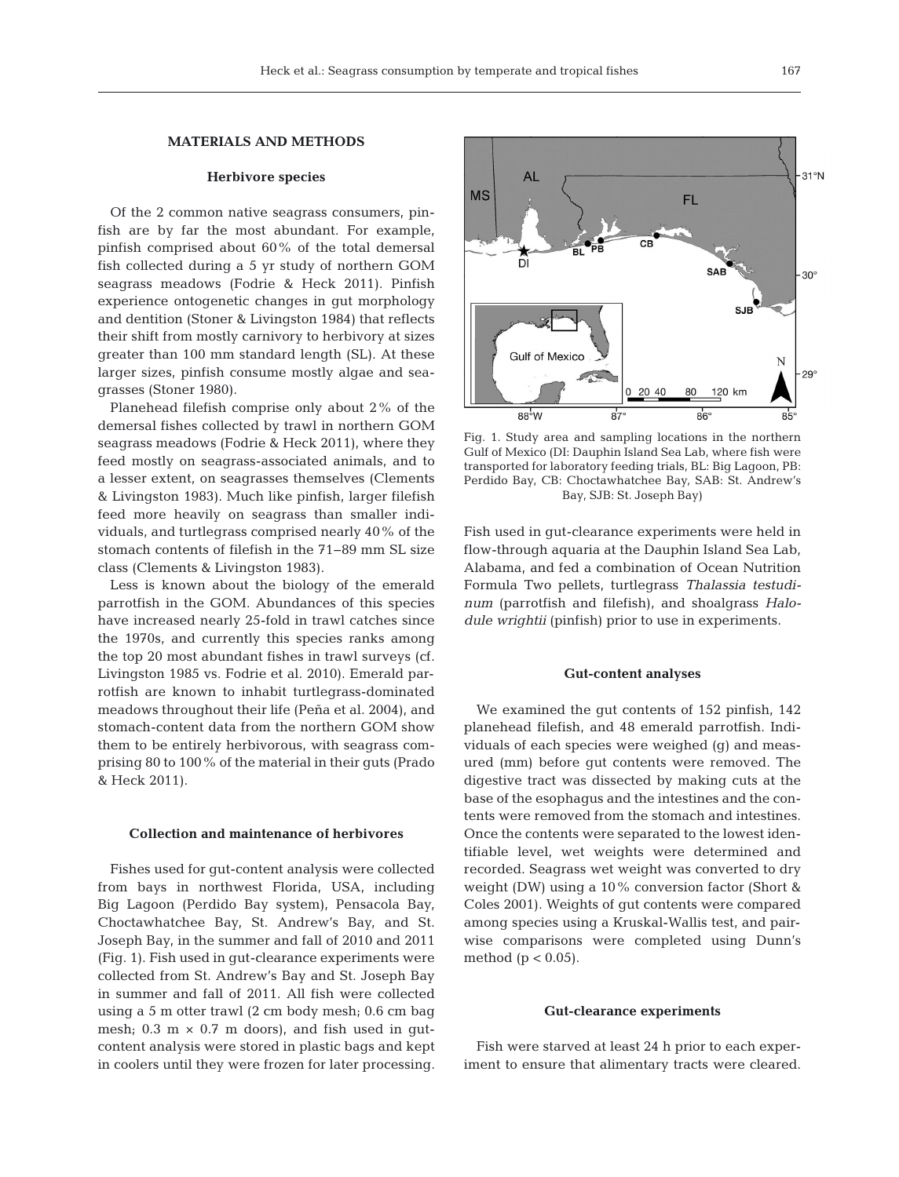# **MATERIALS AND METHODS**

# **Herbivore species**

Of the 2 common native seagrass consumers, pinfish are by far the most abundant. For example, pinfish comprised about 60% of the total demersal fish collected during a 5 yr study of northern GOM seagrass meadows (Fodrie & Heck 2011). Pinfish experience ontogenetic changes in gut morphology and dentition (Stoner & Livingston 1984) that reflects their shift from mostly carnivory to herbivory at sizes greater than 100 mm standard length (SL). At these larger sizes, pinfish consume mostly algae and seagrasses (Stoner 1980).

Planehead filefish comprise only about 2% of the demersal fishes collected by trawl in northern GOM seagrass meadows (Fodrie & Heck 2011), where they feed mostly on seagrass-associated animals, and to a lesser extent, on seagrasses themselves (Clements & Livingston 1983). Much like pinfish, larger filefish feed more heavily on seagrass than smaller individuals, and turtlegrass comprised nearly 40% of the stomach contents of filefish in the 71−89 mm SL size class (Clements & Livingston 1983).

Less is known about the biology of the emerald parrotfish in the GOM. Abundances of this species have increased nearly 25-fold in trawl catches since the 1970s, and currently this species ranks among the top 20 most abundant fishes in trawl surveys (cf. Livingston 1985 vs. Fodrie et al. 2010). Emerald parrotfish are known to inhabit turtlegrass-dominated meadows throughout their life (Peña et al. 2004), and stomach-content data from the northern GOM show them to be entirely herbivorous, with seagrass comprising 80 to 100% of the material in their guts (Prado & Heck 2011).

#### **Collection and maintenance of herbivores**

Fishes used for gut-content analysis were collected from bays in northwest Florida, USA, including Big Lagoon (Perdido Bay system), Pensacola Bay, Choctawhatchee Bay, St. Andrew's Bay, and St. Joseph Bay, in the summer and fall of 2010 and 2011 (Fig. 1). Fish used in gut-clearance experiments were collected from St. Andrew's Bay and St. Joseph Bay in summer and fall of 2011. All fish were collected using a 5 m otter trawl (2 cm body mesh; 0.6 cm bag mesh;  $0.3 \text{ m} \times 0.7 \text{ m}$  doors), and fish used in gutcontent analysis were stored in plastic bags and kept in coolers until they were frozen for later processing.



Fig. 1. Study area and sampling locations in the northern Gulf of Mexico (DI: Dauphin Island Sea Lab, where fish were transported for laboratory feeding trials, BL: Big Lagoon, PB: Perdido Bay, CB: Choctawhatchee Bay, SAB: St. Andrew's Bay, SJB: St. Joseph Bay)

Fish used in gut-clearance experiments were held in flow-through aquaria at the Dauphin Island Sea Lab, Alabama, and fed a combination of Ocean Nutrition Formula Two pellets, turtlegrass *Thalassia testudinum* (parrotfish and filefish), and shoalgrass *Halo dule wrightii* (pinfish) prior to use in experiments.

## **Gut-content analyses**

We examined the gut contents of 152 pinfish, 142 planehead filefish, and 48 emerald parrotfish. Individuals of each species were weighed (g) and measured (mm) before gut contents were removed. The digestive tract was dissected by making cuts at the base of the esophagus and the intestines and the contents were removed from the stomach and intestines. Once the contents were separated to the lowest identifiable level, wet weights were determined and recorded. Seagrass wet weight was converted to dry weight (DW) using a 10% conversion factor (Short & Coles 2001). Weights of gut contents were compared among species using a Kruskal-Wallis test, and pairwise comparisons were completed using Dunn's method ( $p < 0.05$ ).

#### **Gut-clearance experiments**

Fish were starved at least 24 h prior to each experiment to ensure that alimentary tracts were cleared.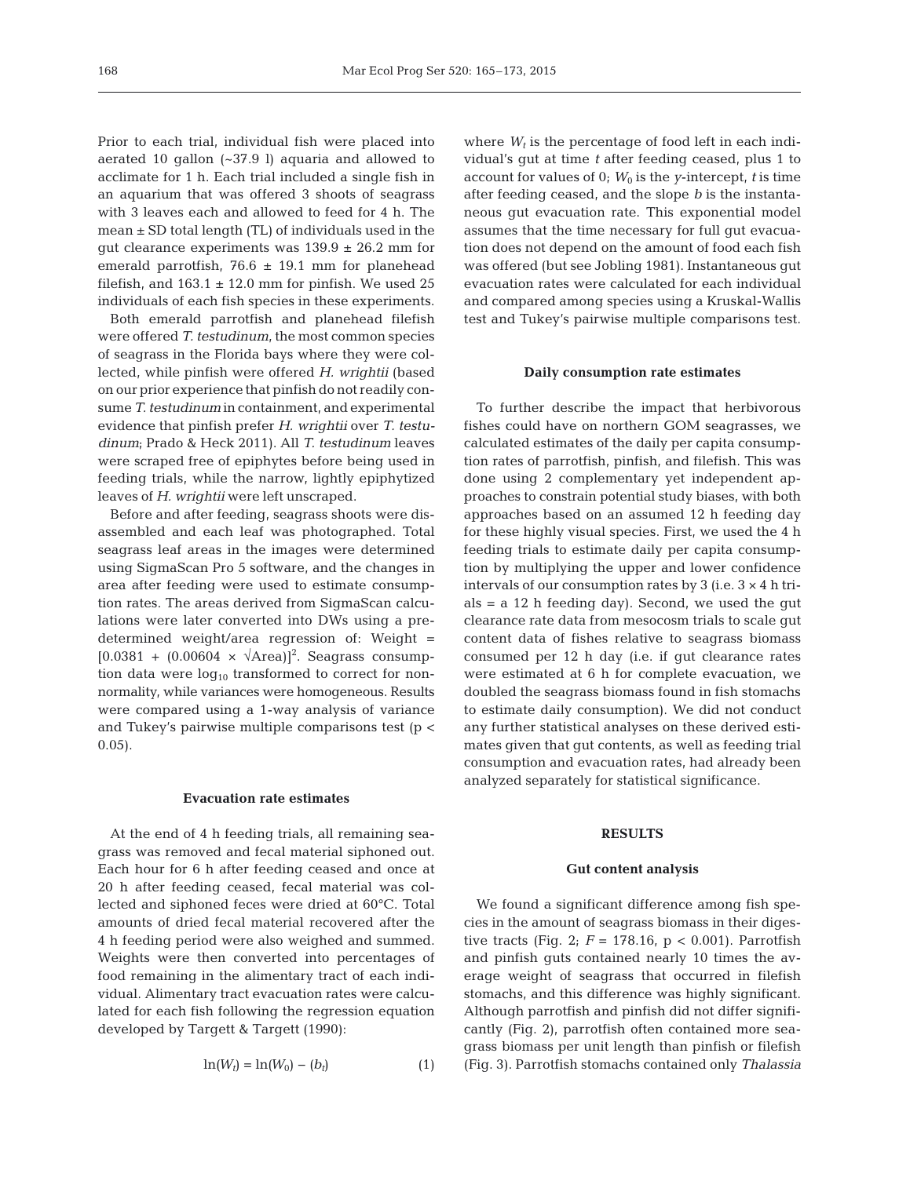Prior to each trial, individual fish were placed into aerated 10 gallon (~37.9 l) aquaria and allowed to acclimate for 1 h. Each trial included a single fish in an aquarium that was offered 3 shoots of seagrass with 3 leaves each and allowed to feed for 4 h. The mean  $\pm$  SD total length (TL) of individuals used in the gut clearance experiments was  $139.9 \pm 26.2$  mm for emerald parrotfish,  $76.6 \pm 19.1$  mm for planehead filefish, and  $163.1 \pm 12.0$  mm for pinfish. We used 25 individuals of each fish species in these experiments.

Both emerald parrotfish and planehead filefish were offered *T. testudinum*, the most common species of seagrass in the Florida bays where they were collected, while pinfish were offered *H. wrightii* (based on our prior experience that pinfish do not readily consume*T. testudinum* in containment, and experimental evidence that pinfish prefer *H. wrightii* over *T. testu dinum*; Prado & Heck 2011). All *T. testudinum* leaves were scraped free of epiphytes before being used in feeding trials, while the narrow, lightly epiphytized leaves of *H. wrightii* were left unscraped.

Before and after feeding, seagrass shoots were disassembled and each leaf was photographed. Total seagrass leaf areas in the images were determined using SigmaScan Pro 5 software, and the changes in area after feeding were used to estimate consumption rates. The areas derived from SigmaScan calculations were later converted into DWs using a predetermined weight/area regression of: Weight =  $[0.0381 + (0.00604 \times \sqrt{\text{Area}})]^2$ . Seagrass consumption data were  $log_{10}$  transformed to correct for nonnormality, while variances were homogeneous. Results were compared using a 1-way analysis of variance and Tukey's pairwise multiple comparisons test (p < 0.05).

#### **Evacuation rate estimates**

At the end of 4 h feeding trials, all remaining seagrass was removed and fecal material siphoned out. Each hour for 6 h after feeding ceased and once at 20 h after feeding ceased, fecal material was collected and siphoned feces were dried at 60°C. Total amounts of dried fecal material recovered after the 4 h feeding period were also weighed and summed. Weights were then converted into percentages of food remaining in the alimentary tract of each individual. Alimentary tract evacuation rates were calculated for each fish following the regression equation developed by Targett & Targett (1990):

$$
\ln(W_t) = \ln(W_0) - (b_t) \tag{1}
$$

where  $W_t$  is the percentage of food left in each individual's gut at time *t* after feeding ceased, plus 1 to account for values of  $0$ ;  $W_0$  is the *y*-intercept, *t* is time after feeding ceased, and the slope *b* is the instantaneous gut evacuation rate. This exponential model assumes that the time necessary for full gut evacuation does not depend on the amount of food each fish was offered (but see Jobling 1981). Instantaneous gut evacuation rates were calculated for each individual and compared among species using a Kruskal-Wallis test and Tukey's pairwise multiple comparisons test.

#### **Daily consumption rate estimates**

To further describe the impact that herbivorous fishes could have on northern GOM seagrasses, we calculated estimates of the daily per capita consumption rates of parrotfish, pinfish, and filefish. This was done using 2 complementary yet independent approaches to constrain potential study biases, with both approaches based on an assumed 12 h feeding day for these highly visual species. First, we used the 4 h feeding trials to estimate daily per capita consumption by multiplying the upper and lower confidence intervals of our consumption rates by 3 (i.e.  $3 \times 4$  h tri $als = a 12$  h feeding day). Second, we used the gut clearance rate data from mesocosm trials to scale gut content data of fishes relative to seagrass biomass consumed per 12 h day (i.e. if gut clearance rates were estimated at 6 h for complete evacuation, we doubled the seagrass biomass found in fish stomachs to estimate daily consumption). We did not conduct any further statistical analyses on these derived estimates given that gut contents, as well as feeding trial consumption and evacuation rates, had already been analyzed separately for statistical significance.

#### **RESULTS**

### **Gut content analysis**

We found a significant difference among fish species in the amount of seagrass biomass in their digestive tracts (Fig. 2;  $F = 178.16$ ,  $p < 0.001$ ). Parrotfish and pinfish guts contained nearly 10 times the average weight of seagrass that occurred in filefish stomachs, and this difference was highly significant. Although parrotfish and pinfish did not differ significantly (Fig. 2), parrotfish often contained more seagrass biomass per unit length than pinfish or filefish (Fig. 3). Parrotfish stomachs contained only *Thalassia*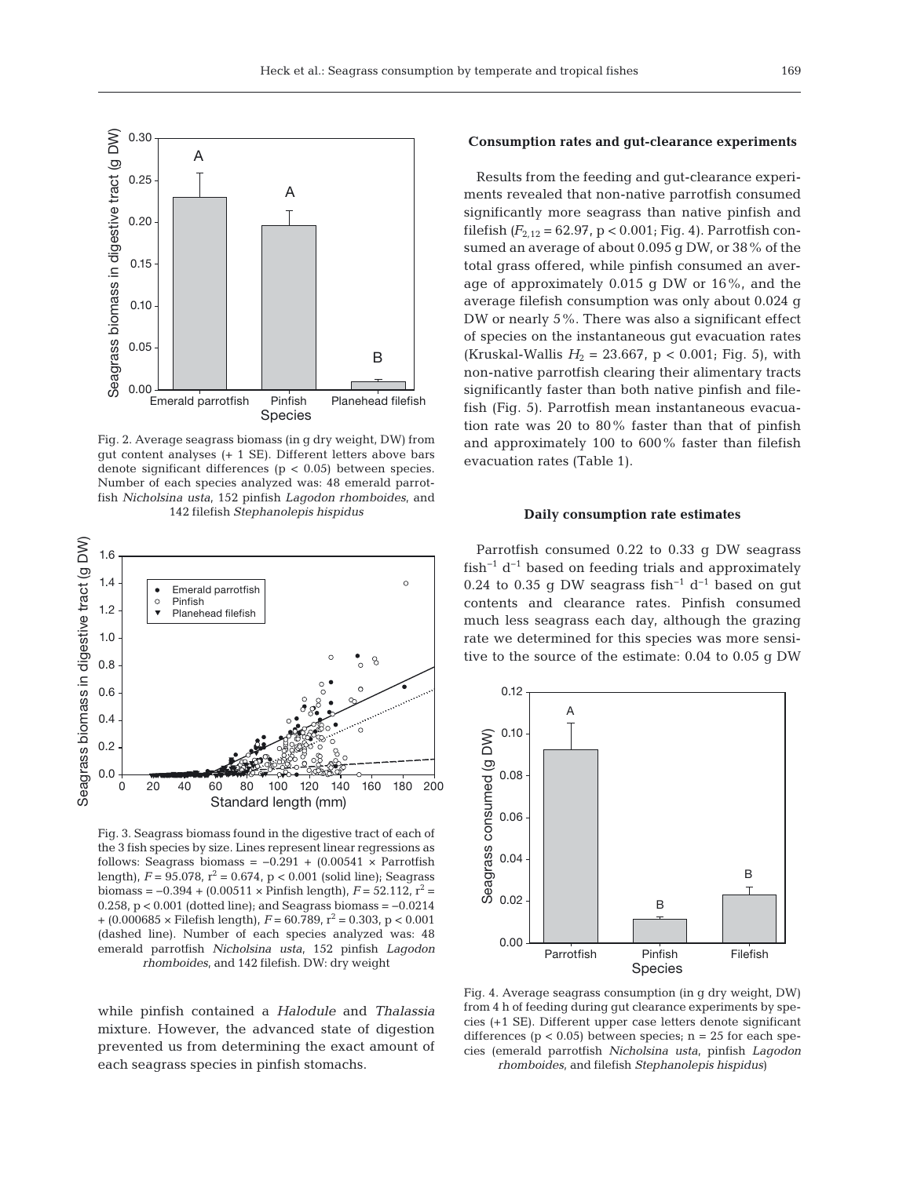

Fig. 2. Average seagrass biomass (in g dry weight, DW) from gut content analyses (+ 1 SE). Different letters above bars denote significant differences (p < 0.05) between species. Number of each species analyzed was: 48 emerald parrotfish *Nicholsina usta*, 152 pinfish *Lagodon rhomboides*, and 142 filefish *Stephanolepis hispidus*



Fig. 3. Seagrass biomass found in the digestive tract of each of the 3 fish species by size. Lines represent linear regressions as follows: Seagrass biomass =  $-0.291 + (0.00541 \times \text{Parrotfish})$ length),  $F = 95.078$ ,  $r^2 = 0.674$ ,  $p < 0.001$  (solid line); Seagrass biomass =  $-0.394 + (0.00511 \times \text{Printish length})$ ,  $F = 52.112$ ,  $r^2 =$ 0.258, p < 0.001 (dotted line); and Seagrass biomass = −0.0214  $+$  (0.000685  $\times$  Filefish length),  $F = 60.789$ ,  $r^2 = 0.303$ , p < 0.001 (dashed line). Number of each species analyzed was: 48 emerald parrotfish *Nicholsina usta*, 152 pinfish *Lagodon rhomboides*, and 142 filefish. DW: dry weight

while pinfish contained a *Halodule* and *Thalassia* mixture. However, the advanced state of digestion prevented us from determining the exact amount of each seagrass species in pinfish stomachs.

# **Consumption rates and gut-clearance experiments**

Results from the feeding and gut-clearance experiments revealed that non-native parrotfish consumed significantly more seagrass than native pinfish and filefish  $(F_{2,12} = 62.97, p < 0.001$ ; Fig. 4). Parrotfish consumed an average of about 0.095 g DW, or 38% of the total grass offered, while pinfish consumed an average of approximately 0.015 g DW or 16%, and the average filefish consumption was only about 0.024 g DW or nearly 5%. There was also a significant effect of species on the instantaneous gut evacuation rates (Kruskal-Wallis  $H_2 = 23.667$ , p < 0.001; Fig. 5), with non-native parrotfish clearing their alimentary tracts significantly faster than both native pinfish and filefish (Fig. 5). Parrotfish mean instantaneous evacuation rate was 20 to 80% faster than that of pinfish and approximately 100 to 600% faster than filefish evacuation rates (Table 1).

#### **Daily consumption rate estimates**

Parrotfish consumed 0.22 to 0.33 g DW seagrass fish−1 d−1 based on feeding trials and approximately 0.24 to 0.35 g DW seagrass fish<sup>-1</sup> d<sup>-1</sup> based on gut contents and clearance rates. Pinfish consumed much less seagrass each day, although the grazing rate we determined for this species was more sensitive to the source of the estimate: 0.04 to 0.05 g DW



Fig. 4. Average seagrass consumption (in g dry weight, DW) from 4 h of feeding during gut clearance experiments by species (+1 SE). Different upper case letters denote significant differences ( $p < 0.05$ ) between species;  $n = 25$  for each species (emerald parrotfish *Nicholsina usta*, pinfish *Lagodon rhomboides*, and filefish *Stephanolepis hispidus*)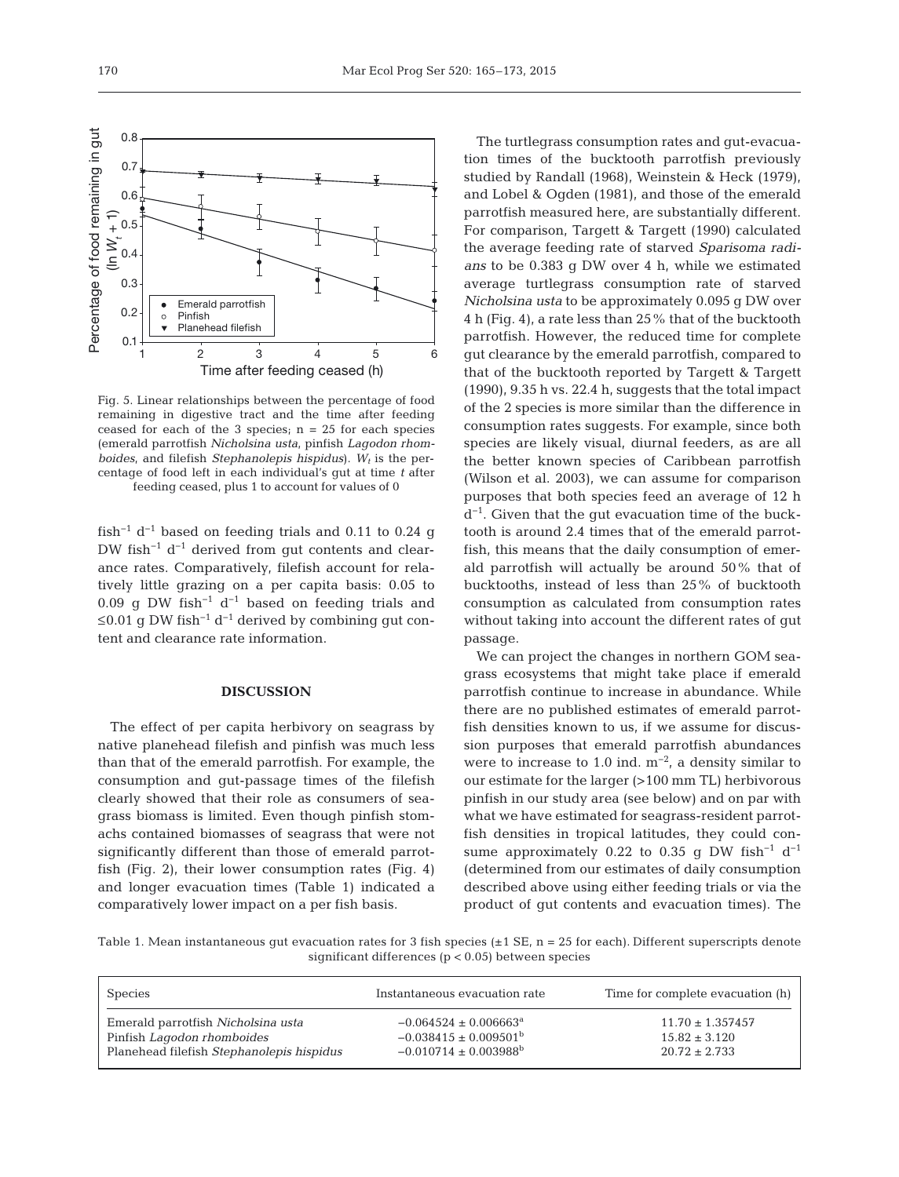

Fig. 5. Linear relationships between the percentage of food remaining in digestive tract and the time after feeding ceased for each of the 3 species;  $n = 25$  for each species (emerald parrotfish *Nicholsina usta*, pinfish *Lagodon rhomboides*, and filefish *Stephanolepis hispidus*).  $W_t$  is the percentage of food left in each individual's gut at time *t* after feeding ceased, plus 1 to account for values of 0

fish<sup>-1</sup> d<sup>-1</sup> based on feeding trials and 0.11 to 0.24 g DW fish−1 d−1 derived from gut contents and clearance rates. Comparatively, filefish account for relatively little grazing on a per capita basis: 0.05 to 0.09 q DW fish<sup>-1</sup> d<sup>-1</sup> based on feeding trials and ≤0.01 g DW fish<sup>-1</sup> d<sup>-1</sup> derived by combining gut content and clearance rate information.

## **DISCUSSION**

The effect of per capita herbivory on seagrass by native planehead filefish and pinfish was much less than that of the emerald parrotfish. For example, the consumption and gut-passage times of the filefish clearly showed that their role as consumers of seagrass biomass is limited. Even though pinfish stomachs contained biomasses of seagrass that were not significantly different than those of emerald parrotfish (Fig. 2), their lower consumption rates (Fig. 4) and longer evacuation times (Table 1) indicated a comparatively lower impact on a per fish basis.

The turtlegrass consumption rates and gut-evacuation times of the bucktooth parrotfish previously studied by Randall (1968), Weinstein & Heck (1979), and Lobel & Ogden (1981), and those of the emerald parrotfish measured here, are substantially different. For comparison, Targett & Targett (1990) calculated the average feeding rate of starved *Sparisoma radians* to be 0.383 g DW over 4 h, while we estimated average turtlegrass consumption rate of starved *Nicholsina usta* to be approximately 0.095 g DW over 4 h (Fig. 4), a rate less than 25% that of the bucktooth parrotfish. However, the reduced time for complete gut clearance by the emerald parrotfish, compared to that of the bucktooth reported by Targett & Targett (1990), 9.35 h vs. 22.4 h, suggests that the total impact of the 2 species is more similar than the difference in consumption rates suggests. For example, since both species are likely visual, diurnal feeders, as are all the better known species of Caribbean parrotfish (Wilson et al. 2003), we can assume for comparison purposes that both species feed an average of 12 h d−1. Given that the gut evacuation time of the bucktooth is around 2.4 times that of the emerald parrotfish, this means that the daily consumption of emerald parrotfish will actually be around 50% that of bucktooths, instead of less than 25% of bucktooth consumption as calculated from consumption rates without taking into account the different rates of gut passage.

We can project the changes in northern GOM seagrass ecosystems that might take place if emerald parrotfish continue to increase in abundance. While there are no published estimates of emerald parrotfish densities known to us, if we assume for discussion purposes that emerald parrotfish abundances were to increase to 1.0 ind.  $m^{-2}$ , a density similar to our estimate for the larger (>100 mm TL) herbivorous pinfish in our study area (see below) and on par with what we have estimated for seagrass-resident parrotfish densities in tropical latitudes, they could consume approximately 0.22 to 0.35 g DW fish<sup>-1</sup> d<sup>-1</sup> (determined from our estimates of daily consumption described above using either feeding trials or via the product of gut contents and evacuation times). The

Table 1. Mean instantaneous gut evacuation rates for 3 fish species  $(\pm 1 \text{ SE}, n = 25 \text{ for each})$ . Different superscripts denote significant differences ( $p < 0.05$ ) between species

| <b>Species</b>                            | Instantaneous evacuation rate         | Time for complete evacuation (h) |
|-------------------------------------------|---------------------------------------|----------------------------------|
| Emerald parrotfish Nicholsina usta        | $-0.064524 \pm 0.006663^a$            | $11.70 \pm 1.357457$             |
| Pinfish Lagodon rhomboides                | $-0.038415 \pm 0.009501^{\rm b}$      | $15.82 \pm 3.120$                |
| Planehead filefish Stephanolepis hispidus | $-0.010714 \pm 0.003988$ <sup>b</sup> | $20.72 \pm 2.733$                |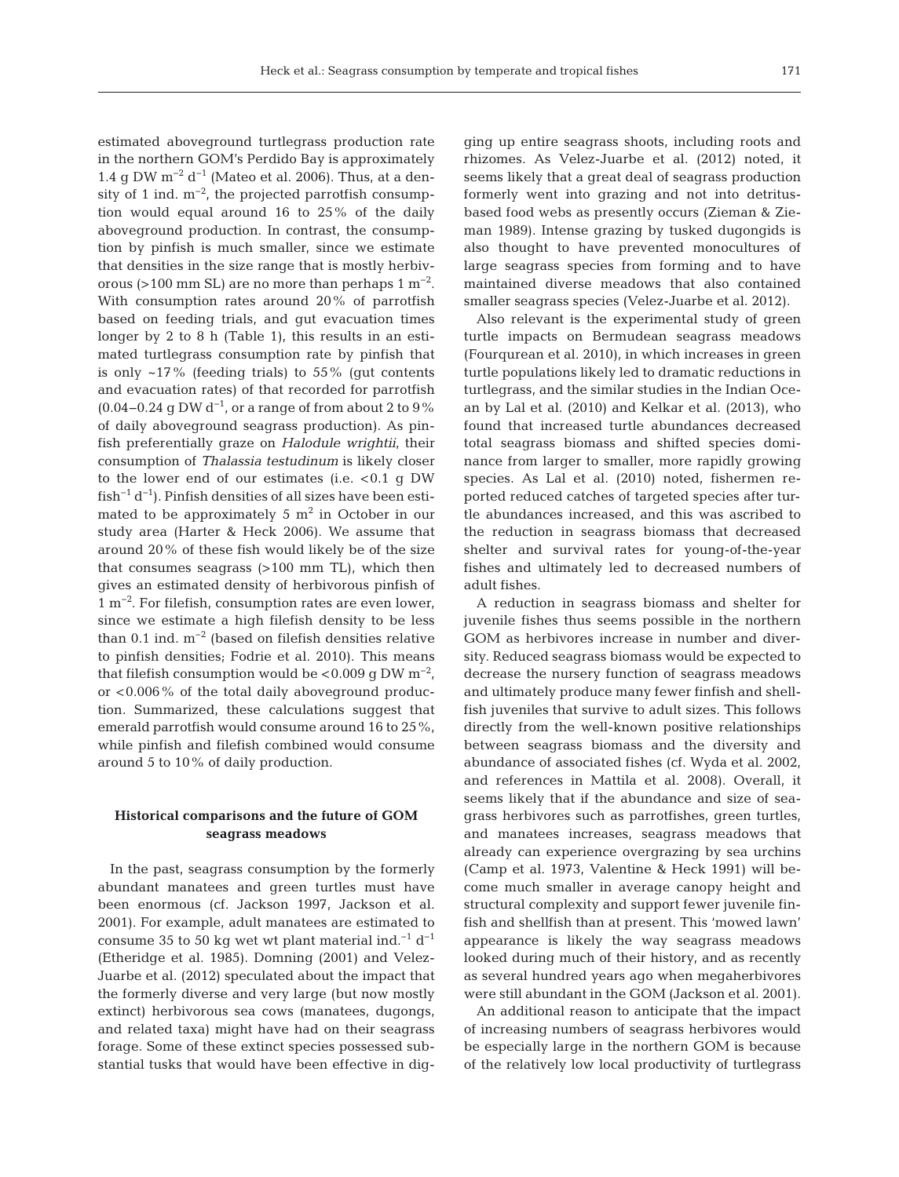estimated aboveground turtlegrass production rate in the northern GOM's Perdido Bay is approximately 1.4 g DW  $m^{-2}$  d<sup>-1</sup> (Mateo et al. 2006). Thus, at a density of 1 ind.  $m^{-2}$ , the projected parrotfish consumption would equal around 16 to 25% of the daily aboveground production. In contrast, the consumption by pinfish is much smaller, since we estimate that densities in the size range that is mostly herbivorous (>100 mm SL) are no more than perhaps  $1 \text{ m}^{-2}$ . With consumption rates around 20% of parrotfish based on feeding trials, and gut evacuation times longer by 2 to 8 h (Table 1), this results in an estimated turtlegrass consumption rate by pinfish that is only  $~17\%$  (feeding trials) to 55% (gut contents and evacuation rates) of that recorded for parrotfish  $(0.04-0.24 \text{ g DW d}^{-1}$ , or a range of from about 2 to 9% of daily aboveground seagrass production). As pinfish preferentially graze on *Halodule wrightii*, their consumption of *Thalassia testudinum* is likely closer to the lower end of our estimates (i.e.  $< 0.1$  g DW  $fish^{-1} d^{-1}$ ). Pinfish densities of all sizes have been estimated to be approximately 5  $m<sup>2</sup>$  in October in our study area (Harter & Heck 2006). We assume that around 20% of these fish would likely be of the size that consumes seagrass (>100 mm TL), which then gives an estimated density of herbivorous pinfish of 1 m−2. For filefish, consumption rates are even lower, since we estimate a high filefish density to be less than 0.1 ind.  $m^{-2}$  (based on filefish densities relative to pinfish densities; Fodrie et al. 2010). This means that filefish consumption would be <0.009 g DW  $m^{-2}$ , or <0.006% of the total daily aboveground production. Summarized, these calculations suggest that emerald parrotfish would consume around 16 to 25%, while pinfish and filefish combined would consume around 5 to 10% of daily production.

# **Historical comparisons and the future of GOM seagrass meadows**

In the past, seagrass consumption by the formerly abundant manatees and green turtles must have been enormous (cf. Jackson 1997, Jackson et al. 2001). For example, adult manatees are estimated to consume 35 to 50 kg wet wt plant material ind.<sup>−1</sup> d<sup>−1</sup> (Etheridge et al. 1985). Domning (2001) and Velez-Juarbe et al. (2012) speculated about the impact that the formerly diverse and very large (but now mostly extinct) herbivorous sea cows (manatees, dugongs, and related taxa) might have had on their seagrass forage. Some of these extinct species possessed substantial tusks that would have been effective in digging up entire seagrass shoots, including roots and rhizomes. As Velez-Juarbe et al. (2012) noted, it seems likely that a great deal of seagrass production formerly went into grazing and not into detritusbased food webs as presently occurs (Zieman & Zieman 1989). Intense grazing by tusked dugongids is also thought to have prevented monocultures of large seagrass species from forming and to have maintained diverse meadows that also contained smaller seagrass species (Velez-Juarbe et al. 2012).

Also relevant is the experimental study of green turtle impacts on Bermudean seagrass meadows (Four qurean et al. 2010), in which increases in green turtle populations likely led to dramatic reductions in turtlegrass, and the similar studies in the Indian Ocean by Lal et al. (2010) and Kelkar et al. (2013), who found that increased turtle abundances decreased total seagrass biomass and shifted species dominance from larger to smaller, more rapidly growing species. As Lal et al. (2010) noted, fishermen reported reduced catches of targeted species after turtle abundances increased, and this was ascribed to the reduction in seagrass biomass that decreased shelter and survival rates for young-of-the-year fishes and ultimately led to decreased numbers of adult fishes.

A reduction in seagrass biomass and shelter for juvenile fishes thus seems possible in the northern GOM as herbivores increase in number and diversity. Reduced seagrass biomass would be expected to decrease the nursery function of seagrass meadows and ultimately produce many fewer finfish and shellfish juveniles that survive to adult sizes. This follows directly from the well-known positive relationships between seagrass biomass and the diversity and abundance of associated fishes (cf. Wyda et al. 2002, and references in Mattila et al. 2008). Overall, it seems likely that if the abundance and size of seagrass herbivores such as parrotfishes, green turtles, and manatees increases, seagrass meadows that already can experience overgrazing by sea urchins (Camp et al. 1973, Valentine & Heck 1991) will be come much smaller in average canopy height and structural complexity and support fewer juvenile finfish and shellfish than at present. This 'mowed lawn' appearance is likely the way seagrass meadows looked during much of their history, and as recently as several hundred years ago when megaherbivores were still abundant in the GOM (Jackson et al. 2001).

An additional reason to anticipate that the impact of increasing numbers of seagrass herbivores would be especially large in the northern GOM is because of the relatively low local productivity of turtlegrass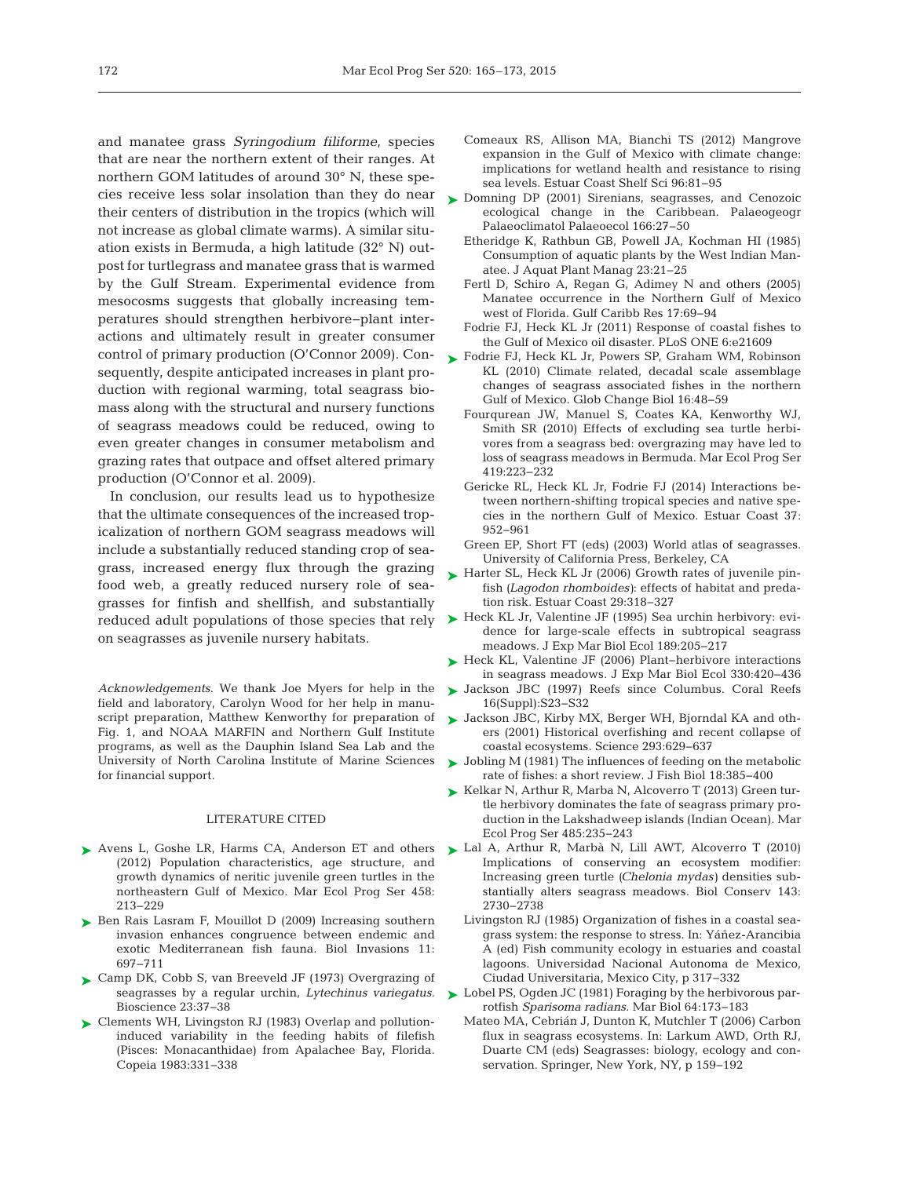and manatee grass *Syringodium filiforme*, species that are near the northern extent of their ranges. At northern GOM latitudes of around 30° N, these species receive less solar insolation than they do near their centers of distribution in the tropics (which will not increase as global climate warms). A similar situation exists in Bermuda, a high latitude (32° N) outpost for turtlegrass and manatee grass that is warmed by the Gulf Stream. Experimental evidence from mesocosms suggests that globally increasing temperatures should strengthen herbivore−plant inter actions and ultimately result in greater consumer control of primary production (O'Connor 2009). Con-<br> [Fodrie FJ, Heck KL Jr, Powers SP, Graham WM, Robinson](http://dx.doi.org/10.1111/j.1365-2486.2009.01889.x) sequently, despite anticipated increases in plant production with regional warming, total seagrass biomass along with the structural and nursery functions of seagrass meadows could be reduced, owing to even greater changes in consumer metabolism and grazing rates that outpace and offset altered primary production (O'Connor et al. 2009).

In conclusion, our results lead us to hypothesize that the ultimate consequences of the increased tropicalization of northern GOM seagrass meadows will include a substantially reduced standing crop of seagrass, increased energy flux through the grazing food web, a greatly reduced nursery role of seagrasses for finfish and shellfish, and substantially reduced adult populations of those species that rely on seagrasses as juvenile nursery habitats.

*Acknowledgements*. We thank Joe Myers for help in the field and laboratory, Carolyn Wood for her help in manuscript preparation, Matthew Kenworthy for preparation of Fig. 1, and NOAA MARFIN and Northern Gulf Institute programs, as well as the Dauphin Island Sea Lab and the University of North Carolina Institute of Marine Sciences for financial support.

#### LITERATURE CITED

- ▶ [Avens L, Goshe LR, Harms CA, Anderson ET and others](http://dx.doi.org/10.3354/meps09720) (2012) Population characteristics, age structure, and growth dynamics of neritic juvenile green turtles in the northeastern Gulf of Mexico. Mar Ecol Prog Ser 458: 213−229
- ▶ [Ben Rais Lasram F, Mouillot D \(2009\) Increasing southern](http://dx.doi.org/10.1007/s10530-008-9284-4) invasion enhances congruence between endemic and exotic Mediterranean fish fauna. Biol Invasions 11: 697−711
- ► [Camp DK, Cobb S, van Breeveld JF \(1973\) Overgrazing of](http://dx.doi.org/10.2307/1296366) seagrasses by a regular urchin, *Lytechinus variegatus.* Bioscience 23: 37−38
- ► [Clements WH, Livingston RJ \(1983\) Overlap and pollution](http://dx.doi.org/10.2307/1444375)induced variability in the feeding habits of filefish (Pisces: Monacanthidae) from Apalachee Bay, Florida. Copeia 1983:331-338
- Comeaux RS, Allison MA, Bianchi TS (2012) Mangrove expansion in the Gulf of Mexico with climate change: implications for wetland health and resistance to rising sea levels. Estuar Coast Shelf Sci 96:81-95
- ▶ [Domning DP \(2001\) Sirenians, seagrasses, and Cenozoic](http://dx.doi.org/10.1016/S0031-0182(00)00200-5) ecological change in the Caribbean. Palaeogeogr Palaeoclimatol Palaeoecol 166:27-50
	- Etheridge K, Rathbun GB, Powell JA, Kochman HI (1985) Consumption of aquatic plants by the West Indian Manatee. J Aquat Plant Manag 23:21-25
	- Fertl D, Schiro A, Regan G, Adimey N and others (2005) Manatee occurrence in the Northern Gulf of Mexico west of Florida. Gulf Caribb Res 17:69-94
	- Fodrie FJ, Heck KL Jr (2011) Response of coastal fishes to the Gulf of Mexico oil disaster. PLoS ONE 6:e21609
	- KL (2010) Climate related, decadal scale assemblage changes of seagrass associated fishes in the northern Gulf of Mexico. Glob Change Biol 16:48-59
	- Fourqurean JW, Manuel S, Coates KA, Kenworthy WJ, Smith SR (2010) Effects of excluding sea turtle herbivores from a seagrass bed: overgrazing may have led to loss of seagrass meadows in Bermuda. Mar Ecol Prog Ser 419: 223−232
	- Gericke RL, Heck KL Jr, Fodrie FJ (2014) Interactions be tween northern-shifting tropical species and native species in the northern Gulf of Mexico. Estuar Coast 37: 952−961
	- Green EP, Short FT (eds) (2003) World atlas of seagrasses. University of California Press, Berkeley, CA
- ► [Harter SL, Heck KL Jr \(2006\) Growth rates of juvenile pin](http://dx.doi.org/10.1007/BF02782000)fish (Lagodon rhomboides): effects of habitat and predation risk. Estuar Coast 29:318-327
- ► Heck KL Jr, Valentine JF (1995) Sea urchin herbivory: evidence for large-scale effects in subtropical seagrass meadows. J Exp Mar Biol Ecol 189:205-217
- [Heck KL, Valentine JF \(2006\) Plant−herbivore interactions](http://dx.doi.org/10.1890/0012-9658(2002)083[0436%3ADRVUMA]2.0.CO%3B2) ➤ in seagrass meadows. J Exp Mar Biol Ecol 330: 420−436
- ▶ [Jackson JBC \(1997\) Reefs since Columbus. Coral Reefs](http://dx.doi.org/10.1007/s003380050238) 16(Suppl): S23−S32
- ► [Jackson JBC, Kirby MX, Berger WH, Bjorndal KA and oth](http://dx.doi.org/10.1126/science.1059199)ers (2001) Historical overfishing and recent collapse of coastal ecosystems. Science 293: 629−637
- ► [Jobling M \(1981\) The influences of feeding on the metabolic](http://dx.doi.org/10.1111/j.1095-8649.1981.tb03780.x) rate of fishes: a short review. J Fish Biol 18:385−400
- ► [Kelkar N, Arthur R, Marba N, Alcoverro T \(2013\) Green tur](http://dx.doi.org/10.3354/meps10406)tle herbivory dominates the fate of seagrass primary production in the Lakshadweep islands (Indian Ocean). Mar Ecol Prog Ser 485:235-243
- ▶ [Lal A, Arthur R, Marbà N, Lill AWT, Alcoverro T \(2010\)](http://dx.doi.org/10.1016/j.biocon.2010.07.020) Implications of conserving an ecosystem modifier: Increasing green turtle *(Chelonia mydas)* densities substantially alters seagrass meadows. Biol Conserv 143: 2730−2738
	- Livingston RJ (1985) Organization of fishes in a coastal seagrass system: the response to stress. In: Yáñez-Arancibia A (ed) Fish community ecology in estuaries and coastal lagoons. Universidad Nacional Autonoma de Mexico, Ciudad Universitaria, Mexico City, p 317−332
- ► [Lobel PS, Ogden JC \(1981\) Foraging by the herbivorous par](http://dx.doi.org/10.1007/BF00397106)rotfish *Sparisoma radians.* Mar Biol 64: 173−183
	- Mateo MA, Cebrián J, Dunton K, Mutchler T (2006) Carbon flux in seagrass ecosystems. In: Larkum AWD, Orth RJ, Duarte CM (eds) Seagrasses: biology, ecology and conservation. Springer, New York, NY, p 159−192